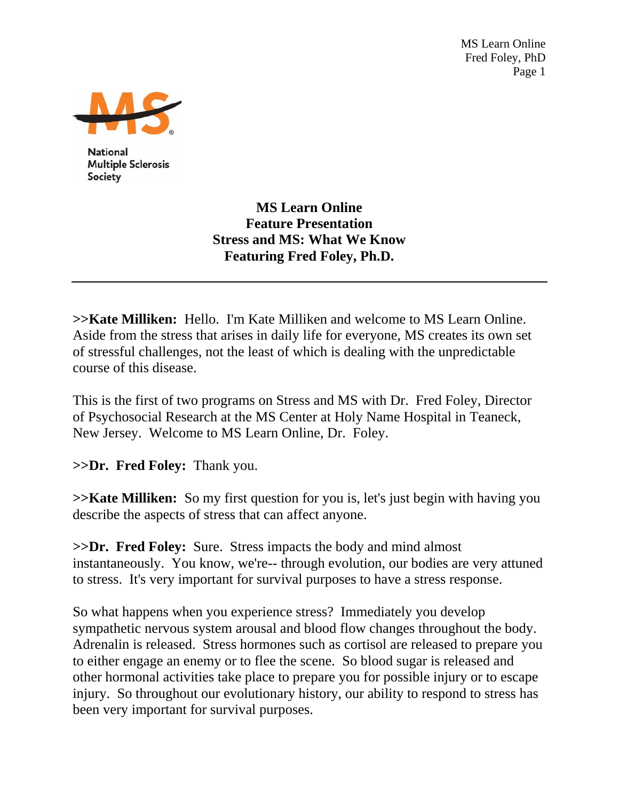MS Learn Online Fred Foley, PhD Page 1



**National Multiple Sclerosis** Society

> **MS Learn Online Feature Presentation Stress and MS: What We Know Featuring Fred Foley, Ph.D.**

**>>Kate Milliken:** Hello. I'm Kate Milliken and welcome to MS Learn Online. Aside from the stress that arises in daily life for everyone, MS creates its own set of stressful challenges, not the least of which is dealing with the unpredictable course of this disease.

This is the first of two programs on Stress and MS with Dr. Fred Foley, Director of Psychosocial Research at the MS Center at Holy Name Hospital in Teaneck, New Jersey. Welcome to MS Learn Online, Dr. Foley.

**>>Dr. Fred Foley:** Thank you.

**>>Kate Milliken:** So my first question for you is, let's just begin with having you describe the aspects of stress that can affect anyone.

**>>Dr. Fred Foley:** Sure. Stress impacts the body and mind almost instantaneously. You know, we're-- through evolution, our bodies are very attuned to stress. It's very important for survival purposes to have a stress response.

So what happens when you experience stress? Immediately you develop sympathetic nervous system arousal and blood flow changes throughout the body. Adrenalin is released. Stress hormones such as cortisol are released to prepare you to either engage an enemy or to flee the scene. So blood sugar is released and other hormonal activities take place to prepare you for possible injury or to escape injury. So throughout our evolutionary history, our ability to respond to stress has been very important for survival purposes.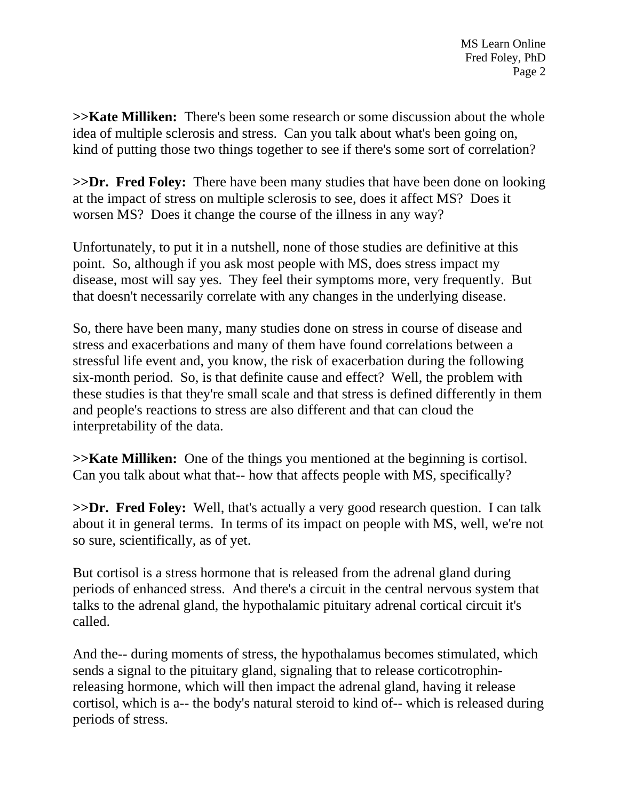**>>Kate Milliken:** There's been some research or some discussion about the whole idea of multiple sclerosis and stress. Can you talk about what's been going on, kind of putting those two things together to see if there's some sort of correlation?

**>>Dr. Fred Foley:** There have been many studies that have been done on looking at the impact of stress on multiple sclerosis to see, does it affect MS? Does it worsen MS? Does it change the course of the illness in any way?

Unfortunately, to put it in a nutshell, none of those studies are definitive at this point. So, although if you ask most people with MS, does stress impact my disease, most will say yes. They feel their symptoms more, very frequently. But that doesn't necessarily correlate with any changes in the underlying disease.

So, there have been many, many studies done on stress in course of disease and stress and exacerbations and many of them have found correlations between a stressful life event and, you know, the risk of exacerbation during the following six-month period. So, is that definite cause and effect? Well, the problem with these studies is that they're small scale and that stress is defined differently in them and people's reactions to stress are also different and that can cloud the interpretability of the data.

**>>Kate Milliken:** One of the things you mentioned at the beginning is cortisol. Can you talk about what that-- how that affects people with MS, specifically?

**>>Dr. Fred Foley:** Well, that's actually a very good research question. I can talk about it in general terms. In terms of its impact on people with MS, well, we're not so sure, scientifically, as of yet.

But cortisol is a stress hormone that is released from the adrenal gland during periods of enhanced stress. And there's a circuit in the central nervous system that talks to the adrenal gland, the hypothalamic pituitary adrenal cortical circuit it's called.

And the-- during moments of stress, the hypothalamus becomes stimulated, which sends a signal to the pituitary gland, signaling that to release corticotrophinreleasing hormone, which will then impact the adrenal gland, having it release cortisol, which is a-- the body's natural steroid to kind of-- which is released during periods of stress.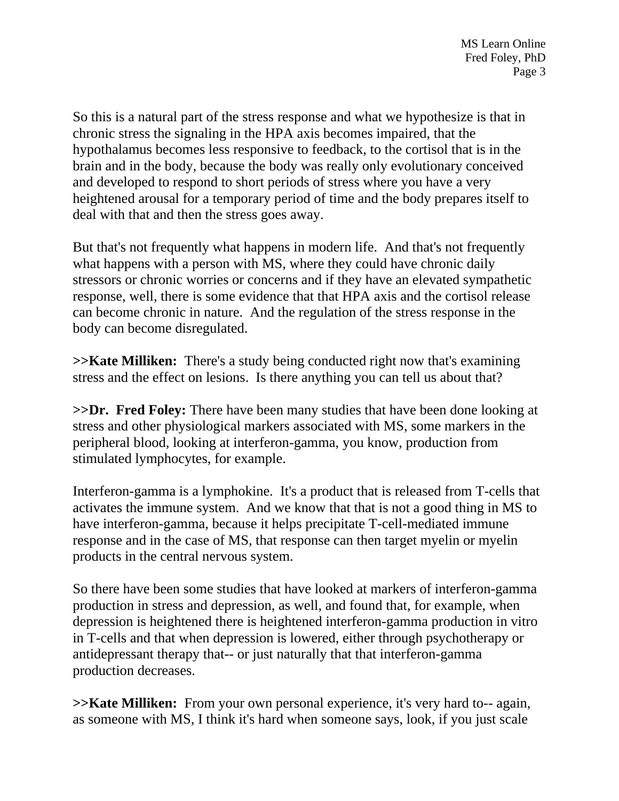So this is a natural part of the stress response and what we hypothesize is that in chronic stress the signaling in the HPA axis becomes impaired, that the hypothalamus becomes less responsive to feedback, to the cortisol that is in the brain and in the body, because the body was really only evolutionary conceived and developed to respond to short periods of stress where you have a very heightened arousal for a temporary period of time and the body prepares itself to deal with that and then the stress goes away.

But that's not frequently what happens in modern life. And that's not frequently what happens with a person with MS, where they could have chronic daily stressors or chronic worries or concerns and if they have an elevated sympathetic response, well, there is some evidence that that HPA axis and the cortisol release can become chronic in nature. And the regulation of the stress response in the body can become disregulated.

**>>Kate Milliken:** There's a study being conducted right now that's examining stress and the effect on lesions. Is there anything you can tell us about that?

**>>Dr. Fred Foley:** There have been many studies that have been done looking at stress and other physiological markers associated with MS, some markers in the peripheral blood, looking at interferon-gamma, you know, production from stimulated lymphocytes, for example.

Interferon-gamma is a lymphokine. It's a product that is released from T-cells that activates the immune system. And we know that that is not a good thing in MS to have interferon-gamma, because it helps precipitate T-cell-mediated immune response and in the case of MS, that response can then target myelin or myelin products in the central nervous system.

So there have been some studies that have looked at markers of interferon-gamma production in stress and depression, as well, and found that, for example, when depression is heightened there is heightened interferon-gamma production in vitro in T-cells and that when depression is lowered, either through psychotherapy or antidepressant therapy that-- or just naturally that that interferon-gamma production decreases.

**>>Kate Milliken:** From your own personal experience, it's very hard to-- again, as someone with MS, I think it's hard when someone says, look, if you just scale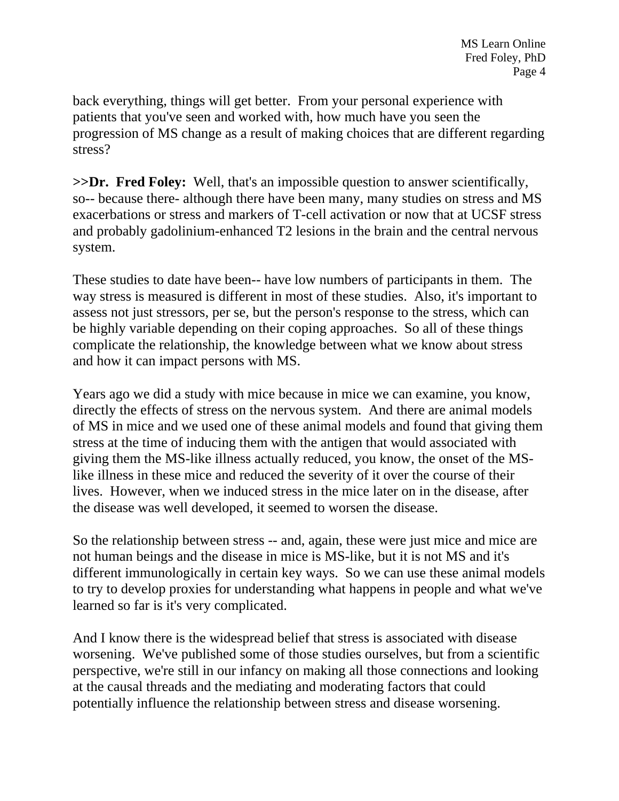back everything, things will get better. From your personal experience with patients that you've seen and worked with, how much have you seen the progression of MS change as a result of making choices that are different regarding stress?

**>>Dr. Fred Foley:** Well, that's an impossible question to answer scientifically, so-- because there- although there have been many, many studies on stress and MS exacerbations or stress and markers of T-cell activation or now that at UCSF stress and probably gadolinium-enhanced T2 lesions in the brain and the central nervous system.

These studies to date have been-- have low numbers of participants in them. The way stress is measured is different in most of these studies. Also, it's important to assess not just stressors, per se, but the person's response to the stress, which can be highly variable depending on their coping approaches. So all of these things complicate the relationship, the knowledge between what we know about stress and how it can impact persons with MS.

Years ago we did a study with mice because in mice we can examine, you know, directly the effects of stress on the nervous system. And there are animal models of MS in mice and we used one of these animal models and found that giving them stress at the time of inducing them with the antigen that would associated with giving them the MS-like illness actually reduced, you know, the onset of the MSlike illness in these mice and reduced the severity of it over the course of their lives. However, when we induced stress in the mice later on in the disease, after the disease was well developed, it seemed to worsen the disease.

So the relationship between stress -- and, again, these were just mice and mice are not human beings and the disease in mice is MS-like, but it is not MS and it's different immunologically in certain key ways. So we can use these animal models to try to develop proxies for understanding what happens in people and what we've learned so far is it's very complicated.

And I know there is the widespread belief that stress is associated with disease worsening. We've published some of those studies ourselves, but from a scientific perspective, we're still in our infancy on making all those connections and looking at the causal threads and the mediating and moderating factors that could potentially influence the relationship between stress and disease worsening.